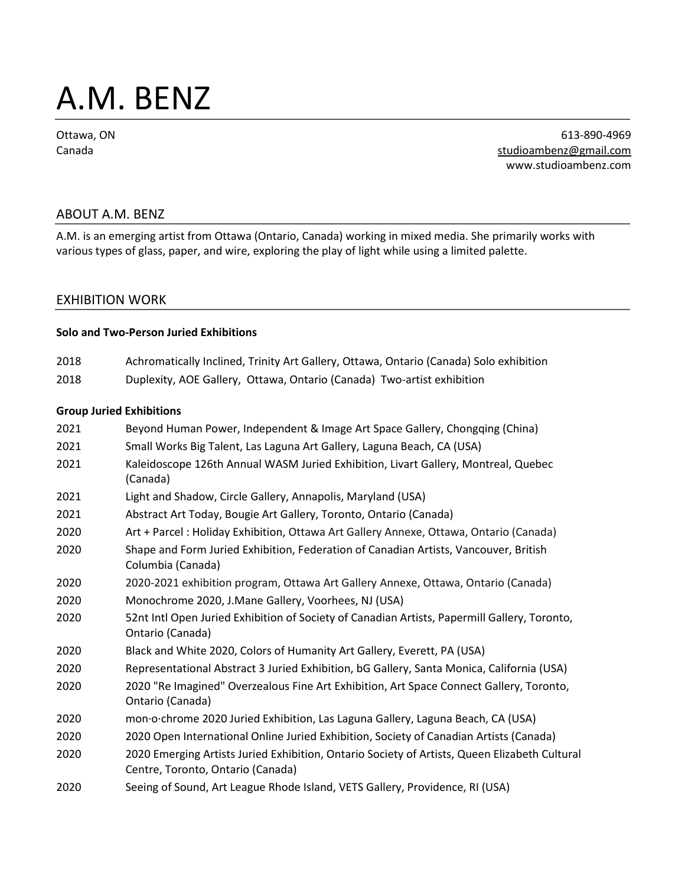# A.M. BENZ

Ottawa, ON Canada

613-890-4969 [studioambenz@gmail.com](mailto:studioambenz@gmail.com) www.studioambenz.com

## ABOUT A.M. BENZ

A.M. is an emerging artist from Ottawa (Ontario, Canada) working in mixed media. She primarily works with various types of glass, paper, and wire, exploring the play of light while using a limited palette.

## EXHIBITION WORK

#### **Solo and Two-Person Juried Exhibitions**

- 2018 Achromatically Inclined, Trinity Art Gallery, Ottawa, Ontario (Canada) Solo exhibition
- 2018 Duplexity, AOE Gallery, Ottawa, Ontario (Canada) Two-artist exhibition

#### **Group Juried Exhibitions**

| 2021 | Beyond Human Power, Independent & Image Art Space Gallery, Chongqing (China)                                                       |
|------|------------------------------------------------------------------------------------------------------------------------------------|
| 2021 | Small Works Big Talent, Las Laguna Art Gallery, Laguna Beach, CA (USA)                                                             |
| 2021 | Kaleidoscope 126th Annual WASM Juried Exhibition, Livart Gallery, Montreal, Quebec<br>(Canada)                                     |
| 2021 | Light and Shadow, Circle Gallery, Annapolis, Maryland (USA)                                                                        |
| 2021 | Abstract Art Today, Bougie Art Gallery, Toronto, Ontario (Canada)                                                                  |
| 2020 | Art + Parcel : Holiday Exhibition, Ottawa Art Gallery Annexe, Ottawa, Ontario (Canada)                                             |
| 2020 | Shape and Form Juried Exhibition, Federation of Canadian Artists, Vancouver, British<br>Columbia (Canada)                          |
| 2020 | 2020-2021 exhibition program, Ottawa Art Gallery Annexe, Ottawa, Ontario (Canada)                                                  |
| 2020 | Monochrome 2020, J.Mane Gallery, Voorhees, NJ (USA)                                                                                |
| 2020 | 52nt Intl Open Juried Exhibition of Society of Canadian Artists, Papermill Gallery, Toronto,<br>Ontario (Canada)                   |
| 2020 | Black and White 2020, Colors of Humanity Art Gallery, Everett, PA (USA)                                                            |
| 2020 | Representational Abstract 3 Juried Exhibition, bG Gallery, Santa Monica, California (USA)                                          |
| 2020 | 2020 "Re Imagined" Overzealous Fine Art Exhibition, Art Space Connect Gallery, Toronto,<br>Ontario (Canada)                        |
| 2020 | mon o chrome 2020 Juried Exhibition, Las Laguna Gallery, Laguna Beach, CA (USA)                                                    |
| 2020 | 2020 Open International Online Juried Exhibition, Society of Canadian Artists (Canada)                                             |
| 2020 | 2020 Emerging Artists Juried Exhibition, Ontario Society of Artists, Queen Elizabeth Cultural<br>Centre, Toronto, Ontario (Canada) |
| 2020 | Seeing of Sound, Art League Rhode Island, VETS Gallery, Providence, RI (USA)                                                       |
|      |                                                                                                                                    |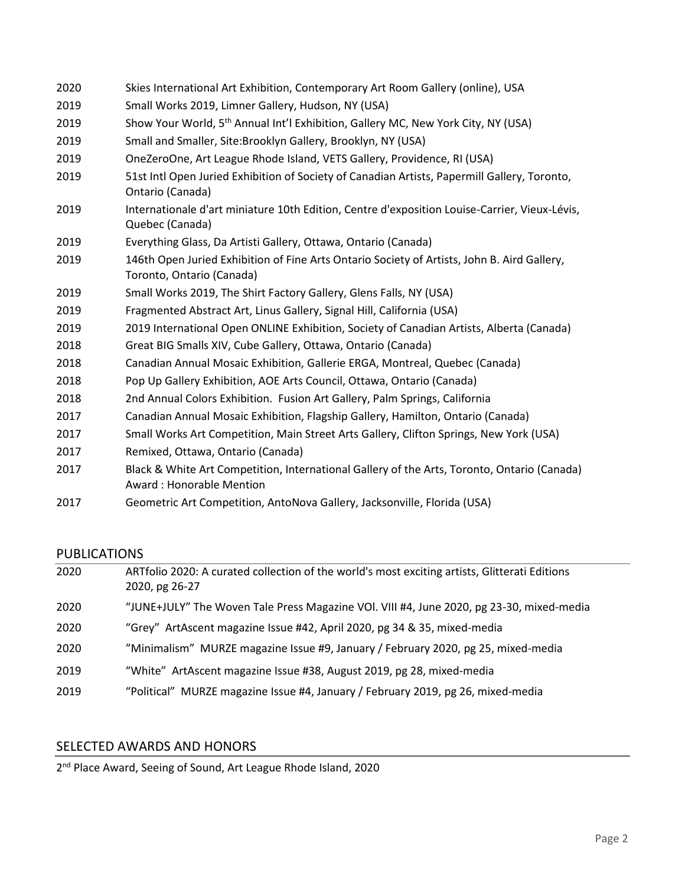- Skies International Art Exhibition, Contemporary Art Room Gallery (online), USA
- Small Works 2019, Limner Gallery, Hudson, NY (USA)
- 2019 Show Your World, 5<sup>th</sup> Annual Int'l Exhibition, Gallery MC, New York City, NY (USA)
- Small and Smaller, Site:Brooklyn Gallery, Brooklyn, NY (USA)
- OneZeroOne, Art League Rhode Island, VETS Gallery, Providence, RI (USA)
- 51st Intl Open Juried Exhibition of Society of Canadian Artists, Papermill Gallery, Toronto, Ontario (Canada)
- Internationale d'art miniature 10th Edition, Centre d'exposition Louise-Carrier, Vieux-Lévis, Quebec (Canada)
- Everything Glass, Da Artisti Gallery, Ottawa, Ontario (Canada)
- 146th Open Juried Exhibition of Fine Arts Ontario Society of Artists, John B. Aird Gallery, Toronto, Ontario (Canada)
- Small Works 2019, The Shirt Factory Gallery, Glens Falls, NY (USA)
- Fragmented Abstract Art, Linus Gallery, Signal Hill, California (USA)
- 2019 International Open ONLINE Exhibition, Society of Canadian Artists, Alberta (Canada)
- Great BIG Smalls XIV, Cube Gallery, Ottawa, Ontario (Canada)
- Canadian Annual Mosaic Exhibition, Gallerie ERGA, Montreal, Quebec (Canada)
- Pop Up Gallery Exhibition, AOE Arts Council, Ottawa, Ontario (Canada)
- 2nd Annual Colors Exhibition. Fusion Art Gallery, Palm Springs, California
- Canadian Annual Mosaic Exhibition, Flagship Gallery, Hamilton, Ontario (Canada)
- Small Works Art Competition, Main Street Arts Gallery, Clifton Springs, New York (USA)
- Remixed, Ottawa, Ontario (Canada)
- Black & White Art Competition, International Gallery of the Arts, Toronto, Ontario (Canada) Award : Honorable Mention
- Geometric Art Competition, AntoNova Gallery, Jacksonville, Florida (USA)

# PUBLICATIONS

| 2020 | ARTfolio 2020: A curated collection of the world's most exciting artists, Glitterati Editions<br>2020, pg 26-27 |
|------|-----------------------------------------------------------------------------------------------------------------|
| 2020 | "JUNE+JULY" The Woven Tale Press Magazine VOI. VIII #4, June 2020, pg 23-30, mixed-media                        |
| 2020 | "Grey" ArtAscent magazine Issue #42, April 2020, pg 34 & 35, mixed-media                                        |
| 2020 | "Minimalism" MURZE magazine Issue #9, January / February 2020, pg 25, mixed-media                               |
| 2019 | "White" ArtAscent magazine Issue #38, August 2019, pg 28, mixed-media                                           |
| 2019 | "Political" MURZE magazine Issue #4, January / February 2019, pg 26, mixed-media                                |

# SELECTED AWARDS AND HONORS

2<sup>nd</sup> Place Award, Seeing of Sound, Art League Rhode Island, 2020